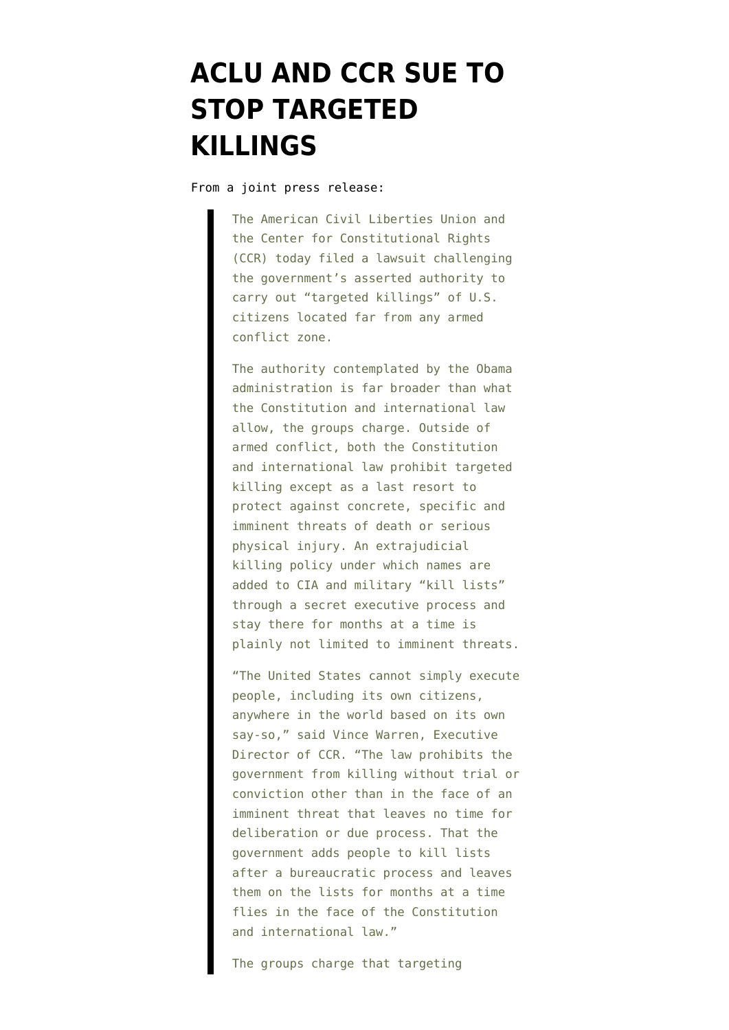## **[ACLU AND CCR SUE TO](https://www.emptywheel.net/2010/08/30/aclu-and-ccr-sue-to-stop-targeted-killings/) [STOP TARGETED](https://www.emptywheel.net/2010/08/30/aclu-and-ccr-sue-to-stop-targeted-killings/) [KILLINGS](https://www.emptywheel.net/2010/08/30/aclu-and-ccr-sue-to-stop-targeted-killings/)**

From a joint press release:

The American Civil Liberties Union and the Center for Constitutional Rights (CCR) today filed a lawsuit challenging the government's asserted authority to carry out "targeted killings" of U.S. citizens located far from any armed conflict zone.

The authority contemplated by the Obama administration is far broader than what the Constitution and international law allow, the groups charge. Outside of armed conflict, both the Constitution and international law prohibit targeted killing except as a last resort to protect against concrete, specific and imminent threats of death or serious physical injury. An extrajudicial killing policy under which names are added to CIA and military "kill lists" through a secret executive process and stay there for months at a time is plainly not limited to imminent threats.

"The United States cannot simply execute people, including its own citizens, anywhere in the world based on its own say-so," said Vince Warren, Executive Director of CCR. "The law prohibits the government from killing without trial or conviction other than in the face of an imminent threat that leaves no time for deliberation or due process. That the government adds people to kill lists after a bureaucratic process and leaves them on the lists for months at a time flies in the face of the Constitution and international law."

The groups charge that targeting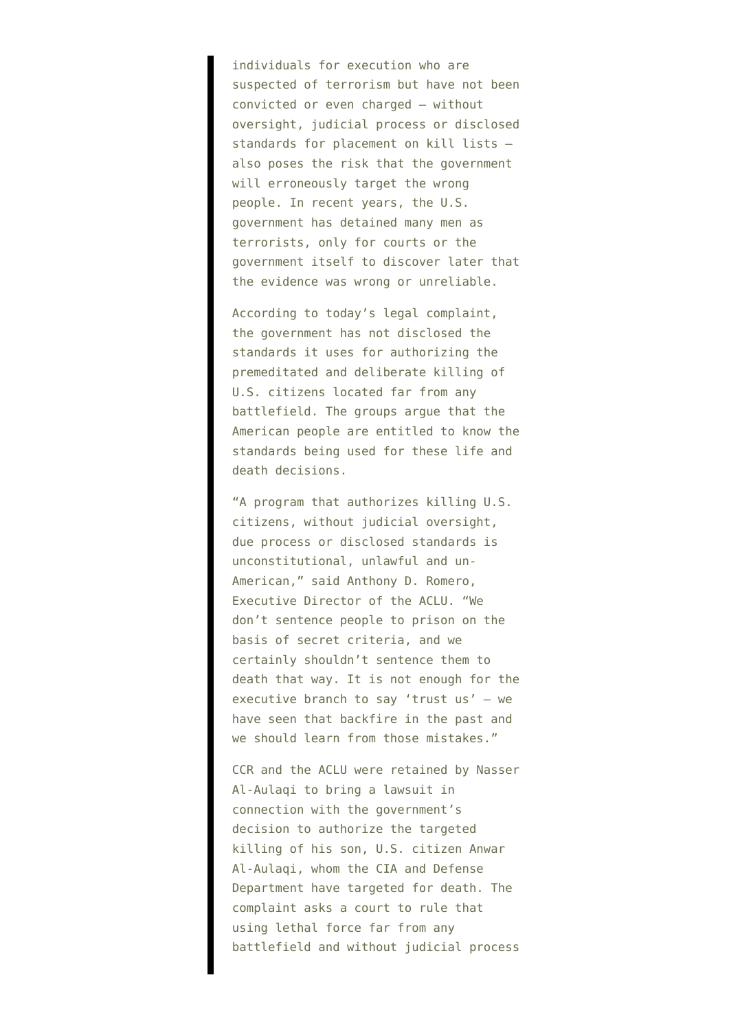individuals for execution who are suspected of terrorism but have not been convicted or even charged – without oversight, judicial process or disclosed standards for placement on kill lists – also poses the risk that the government will erroneously target the wrong people. In recent years, the U.S. government has detained many men as terrorists, only for courts or the government itself to discover later that the evidence was wrong or unreliable.

According to today's legal complaint, the government has not disclosed the standards it uses for authorizing the premeditated and deliberate killing of U.S. citizens located far from any battlefield. The groups argue that the American people are entitled to know the standards being used for these life and death decisions.

"A program that authorizes killing U.S. citizens, without judicial oversight, due process or disclosed standards is unconstitutional, unlawful and un-American," said Anthony D. Romero, Executive Director of the ACLU. "We don't sentence people to prison on the basis of secret criteria, and we certainly shouldn't sentence them to death that way. It is not enough for the executive branch to say 'trust us' – we have seen that backfire in the past and we should learn from those mistakes."

CCR and the ACLU were retained by Nasser Al-Aulaqi to bring a lawsuit in connection with the government's decision to authorize the targeted killing of his son, U.S. citizen Anwar Al-Aulaqi, whom the CIA and Defense Department have targeted for death. The complaint asks a court to rule that using lethal force far from any battlefield and without judicial process